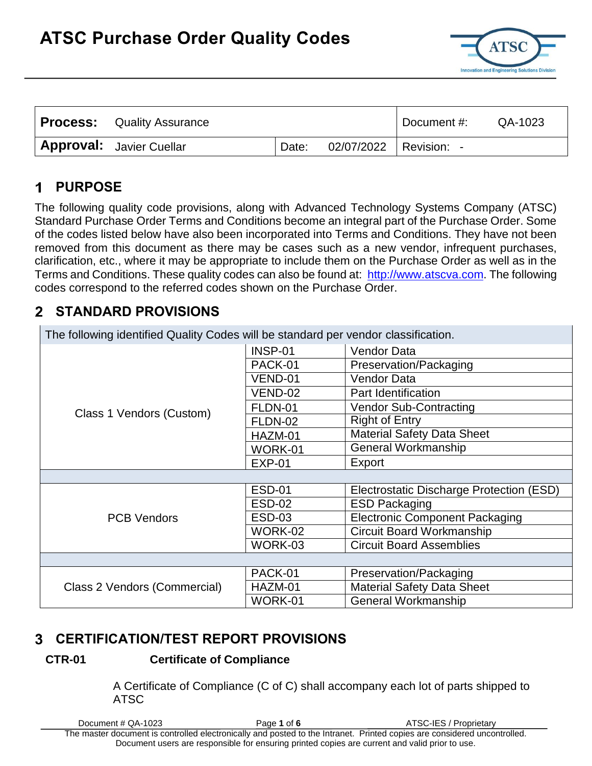

| <b>Process:</b> Quality Assurance | Document #: | QA-1023                  |  |  |
|-----------------------------------|-------------|--------------------------|--|--|
| <b>Approval:</b> Javier Cuellar   | Date:       | 02/07/2022   Revision: - |  |  |

#### **PURPOSE** 1

The following quality code provisions, along with Advanced Technology Systems Company (ATSC) Standard Purchase Order Terms and Conditions become an integral part of the Purchase Order. Some of the codes listed below have also been incorporated into Terms and Conditions. They have not been removed from this document as there may be cases such as a new vendor, infrequent purchases, clarification, etc., where it may be appropriate to include them on the Purchase Order as well as in the Terms and Conditions. These quality codes can also be found at: [http://www.atscva.com.](http://www.atscva.com/) The following codes correspond to the referred codes shown on the Purchase Order.

#### **STANDARD PROVISIONS**  $\mathbf{2}$

| The following identified Quality Codes will be standard per vendor classification. |               |                                          |  |  |  |  |  |  |
|------------------------------------------------------------------------------------|---------------|------------------------------------------|--|--|--|--|--|--|
|                                                                                    | INSP-01       | Vendor Data                              |  |  |  |  |  |  |
|                                                                                    | PACK-01       | Preservation/Packaging                   |  |  |  |  |  |  |
|                                                                                    | VEND-01       | Vendor Data                              |  |  |  |  |  |  |
|                                                                                    | VEND-02       | Part Identification                      |  |  |  |  |  |  |
| Class 1 Vendors (Custom)                                                           | FLDN-01       | <b>Vendor Sub-Contracting</b>            |  |  |  |  |  |  |
|                                                                                    | FLDN-02       | <b>Right of Entry</b>                    |  |  |  |  |  |  |
|                                                                                    | HAZM-01       | <b>Material Safety Data Sheet</b>        |  |  |  |  |  |  |
|                                                                                    | WORK-01       | General Workmanship                      |  |  |  |  |  |  |
|                                                                                    | $EXP-01$      | Export                                   |  |  |  |  |  |  |
|                                                                                    |               |                                          |  |  |  |  |  |  |
|                                                                                    | <b>ESD-01</b> | Electrostatic Discharge Protection (ESD) |  |  |  |  |  |  |
|                                                                                    | <b>ESD-02</b> | <b>ESD Packaging</b>                     |  |  |  |  |  |  |
| <b>PCB Vendors</b>                                                                 | <b>ESD-03</b> | <b>Electronic Component Packaging</b>    |  |  |  |  |  |  |
|                                                                                    | WORK-02       | <b>Circuit Board Workmanship</b>         |  |  |  |  |  |  |
|                                                                                    | WORK-03       | <b>Circuit Board Assemblies</b>          |  |  |  |  |  |  |
|                                                                                    |               |                                          |  |  |  |  |  |  |
|                                                                                    | PACK-01       | Preservation/Packaging                   |  |  |  |  |  |  |
| Class 2 Vendors (Commercial)                                                       | HAZM-01       | <b>Material Safety Data Sheet</b>        |  |  |  |  |  |  |
|                                                                                    | WORK-01       | General Workmanship                      |  |  |  |  |  |  |

## **CERTIFICATION/TEST REPORT PROVISIONS**

### **CTR-01 Certificate of Compliance**

A Certificate of Compliance (C of C) shall accompany each lot of parts shipped to ATSC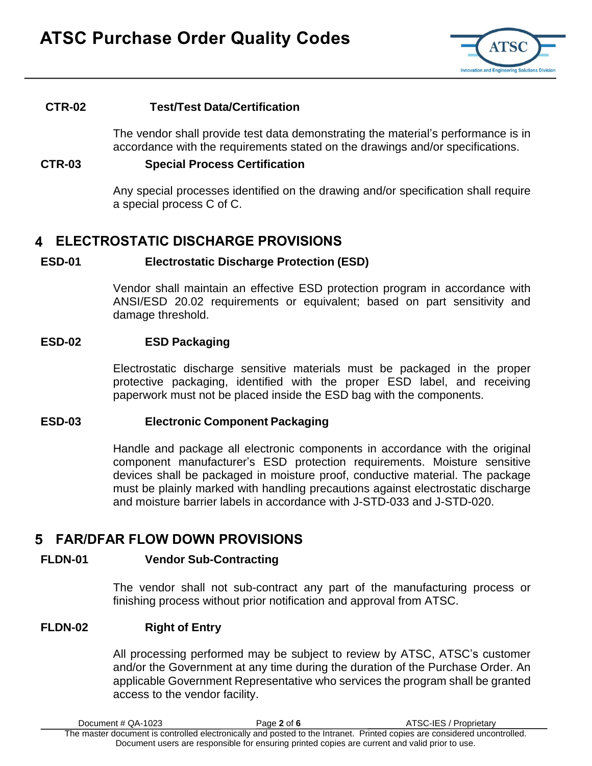

#### **CTR-02 Test/Test Data/Certification**

The vendor shall provide test data demonstrating the material's performance is in accordance with the requirements stated on the drawings and/or specifications.

#### **CTR-03 Special Process Certification**

Any special processes identified on the drawing and/or specification shall require a special process C of C.

### **ELECTROSTATIC DISCHARGE PROVISIONS**

#### **ESD-01 Electrostatic Discharge Protection (ESD)**

Vendor shall maintain an effective ESD protection program in accordance with ANSI/ESD 20.02 requirements or equivalent; based on part sensitivity and damage threshold.

#### **ESD-02 ESD Packaging**

Electrostatic discharge sensitive materials must be packaged in the proper protective packaging, identified with the proper ESD label, and receiving paperwork must not be placed inside the ESD bag with the components.

#### **ESD-03 Electronic Component Packaging**

Handle and package all electronic components in accordance with the original component manufacturer's ESD protection requirements. Moisture sensitive devices shall be packaged in moisture proof, conductive material. The package must be plainly marked with handling precautions against electrostatic discharge and moisture barrier labels in accordance with J-STD-033 and J-STD-020.

### **FAR/DFAR FLOW DOWN PROVISIONS**

#### **FLDN-01 Vendor Sub-Contracting**

The vendor shall not sub-contract any part of the manufacturing process or finishing process without prior notification and approval from ATSC.

#### **FLDN-02 Right of Entry**

All processing performed may be subject to review by ATSC, ATSC's customer and/or the Government at any time during the duration of the Purchase Order. An applicable Government Representative who services the program shall be granted access to the vendor facility.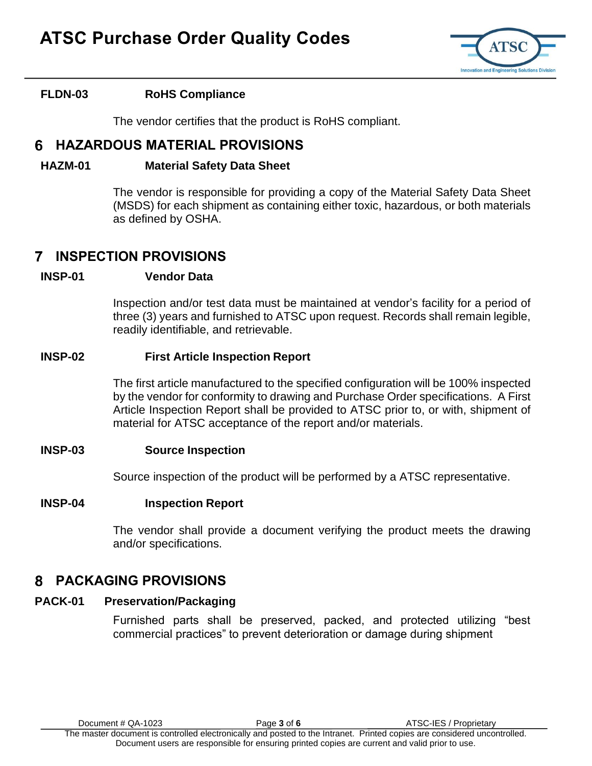

### **FLDN-03 RoHS Compliance**

The vendor certifies that the product is RoHS compliant.

### **HAZARDOUS MATERIAL PROVISIONS**

#### **HAZM-01 Material Safety Data Sheet**

The vendor is responsible for providing a copy of the Material Safety Data Sheet (MSDS) for each shipment as containing either toxic, hazardous, or both materials as defined by OSHA.

#### **INSPECTION PROVISIONS** 7

#### **INSP-01 Vendor Data**

Inspection and/or test data must be maintained at vendor's facility for a period of three (3) years and furnished to ATSC upon request. Records shall remain legible, readily identifiable, and retrievable.

#### **INSP-02 First Article Inspection Report**

The first article manufactured to the specified configuration will be 100% inspected by the vendor for conformity to drawing and Purchase Order specifications. A First Article Inspection Report shall be provided to ATSC prior to, or with, shipment of material for ATSC acceptance of the report and/or materials.

#### **INSP-03 Source Inspection**

Source inspection of the product will be performed by a ATSC representative.

#### **INSP-04 Inspection Report**

The vendor shall provide a document verifying the product meets the drawing and/or specifications.

### **PACKAGING PROVISIONS**

#### **PACK-01 Preservation/Packaging**

Furnished parts shall be preserved, packed, and protected utilizing "best commercial practices" to prevent deterioration or damage during shipment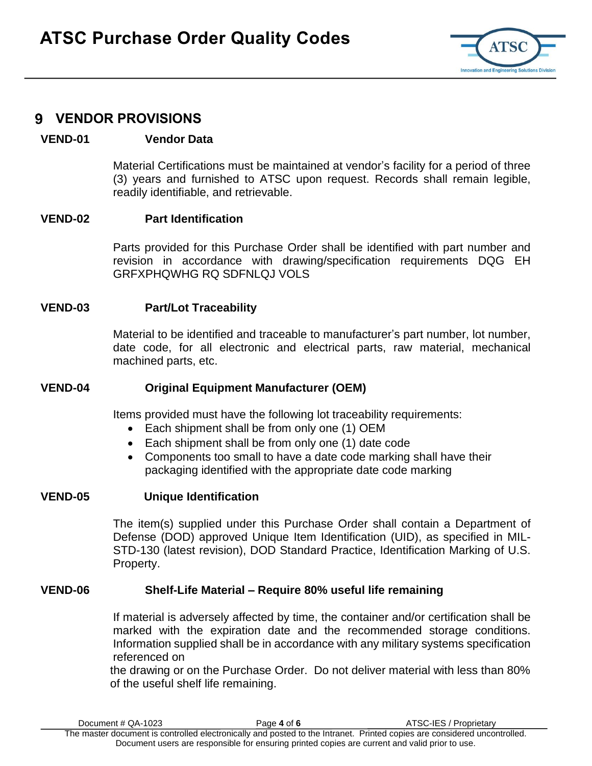

### **VENDOR PROVISIONS**

### **VEND-01 Vendor Data**

Material Certifications must be maintained at vendor's facility for a period of three (3) years and furnished to ATSC upon request. Records shall remain legible, readily identifiable, and retrievable.

#### **VEND-02 Part Identification**

Parts provided for this Purchase Order shall be identified with part number and revision in accordance with drawing/specification requirements DQG EH GRFXPHQWHG RQ SDFNLQJ VOLS

#### **VEND-03 Part/Lot Traceability**

Material to be identified and traceable to manufacturer's part number, lot number, date code, for all electronic and electrical parts, raw material, mechanical machined parts, etc.

#### **VEND-04 Original Equipment Manufacturer (OEM)**

Items provided must have the following lot traceability requirements:

- Each shipment shall be from only one (1) OEM
- Each shipment shall be from only one (1) date code
- Components too small to have a date code marking shall have their packaging identified with the appropriate date code marking

#### **VEND-05 Unique Identification**

The item(s) supplied under this Purchase Order shall contain a Department of Defense (DOD) approved Unique Item Identification (UID), as specified in MIL-STD-130 (latest revision), DOD Standard Practice, Identification Marking of U.S. Property.

#### **VEND-06 Shelf-Life Material – Require 80% useful life remaining**

If material is adversely affected by time, the container and/or certification shall be marked with the expiration date and the recommended storage conditions. Information supplied shall be in accordance with any military systems specification referenced on

the drawing or on the Purchase Order. Do not deliver material with less than 80% of the useful shelf life remaining.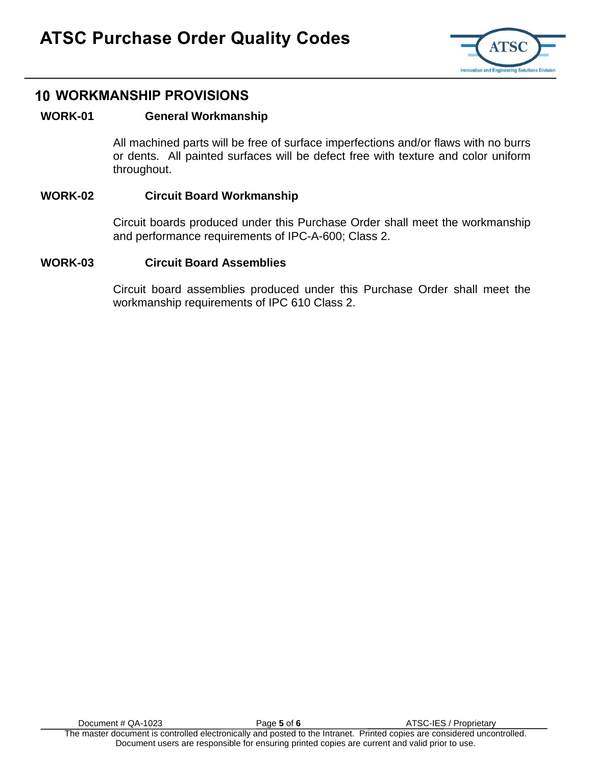

## **WORKMANSHIP PROVISIONS**

### **WORK-01 General Workmanship**

All machined parts will be free of surface imperfections and/or flaws with no burrs or dents. All painted surfaces will be defect free with texture and color uniform throughout.

#### **WORK-02 Circuit Board Workmanship**

Circuit boards produced under this Purchase Order shall meet the workmanship and performance requirements of IPC-A-600; Class 2.

#### **WORK-03 Circuit Board Assemblies**

Circuit board assemblies produced under this Purchase Order shall meet the workmanship requirements of IPC 610 Class 2.

Document # QA-1023 **Page 5 of 6** ATSC-IES / Proprietary